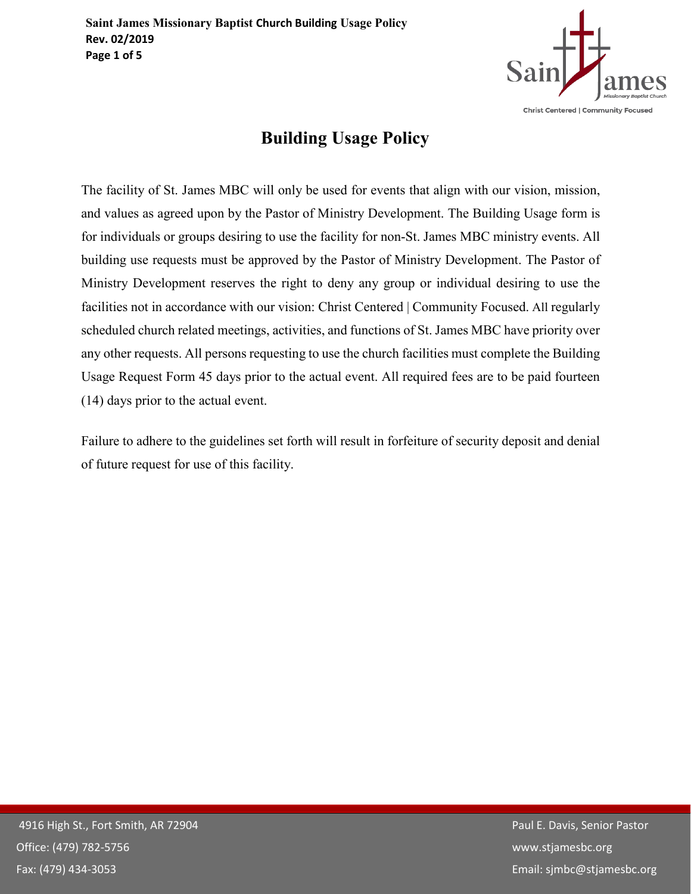

# **Building Usage Policy**

The facility of St. James MBC will only be used for events that align with our vision, mission, and values as agreed upon by the Pastor of Ministry Development. The Building Usage form is for individuals or groups desiring to use the facility for non-St. James MBC ministry events. All building use requests must be approved by the Pastor of Ministry Development. The Pastor of Ministry Development reserves the right to deny any group or individual desiring to use the facilities not in accordance with our vision: Christ Centered | Community Focused. All regularly scheduled church related meetings, activities, and functions of St. James MBC have priority over any other requests. All persons requesting to use the church facilities must complete the Building Usage Request Form 45 days prior to the actual event. All required fees are to be paid fourteen (14) days prior to the actual event.

Failure to adhere to the guidelines set forth will result in forfeiture of security deposit and denial of future request for use of this facility.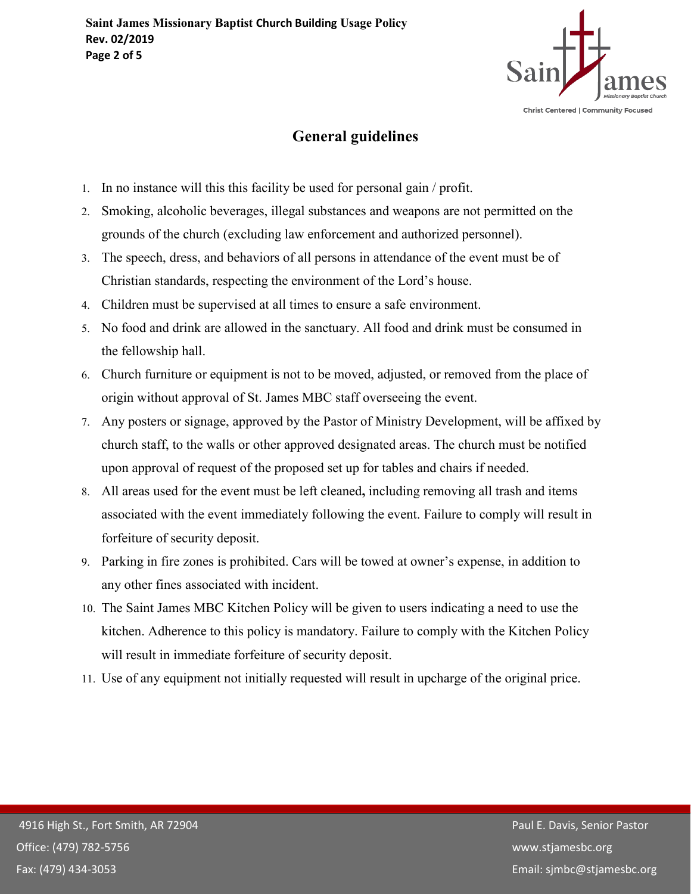

# **General guidelines**

- 1. In no instance will this this facility be used for personal gain / profit.
- 2. Smoking, alcoholic beverages, illegal substances and weapons are not permitted on the grounds of the church (excluding law enforcement and authorized personnel).
- 3. The speech, dress, and behaviors of all persons in attendance of the event must be of Christian standards, respecting the environment of the Lord's house.
- 4. Children must be supervised at all times to ensure a safe environment.
- 5. No food and drink are allowed in the sanctuary. All food and drink must be consumed in the fellowship hall.
- 6. Church furniture or equipment is not to be moved, adjusted, or removed from the place of origin without approval of St. James MBC staff overseeing the event.
- 7. Any posters or signage, approved by the Pastor of Ministry Development, will be affixed by church staff, to the walls or other approved designated areas. The church must be notified upon approval of request of the proposed set up for tables and chairs if needed.
- 8. All areas used for the event must be left cleaned**,** including removing all trash and items associated with the event immediately following the event. Failure to comply will result in forfeiture of security deposit.
- 9. Parking in fire zones is prohibited. Cars will be towed at owner's expense, in addition to any other fines associated with incident.
- 10. The Saint James MBC Kitchen Policy will be given to users indicating a need to use the kitchen. Adherence to this policy is mandatory. Failure to comply with the Kitchen Policy will result in immediate forfeiture of security deposit.
- 11. Use of any equipment not initially requested will result in upcharge of the original price.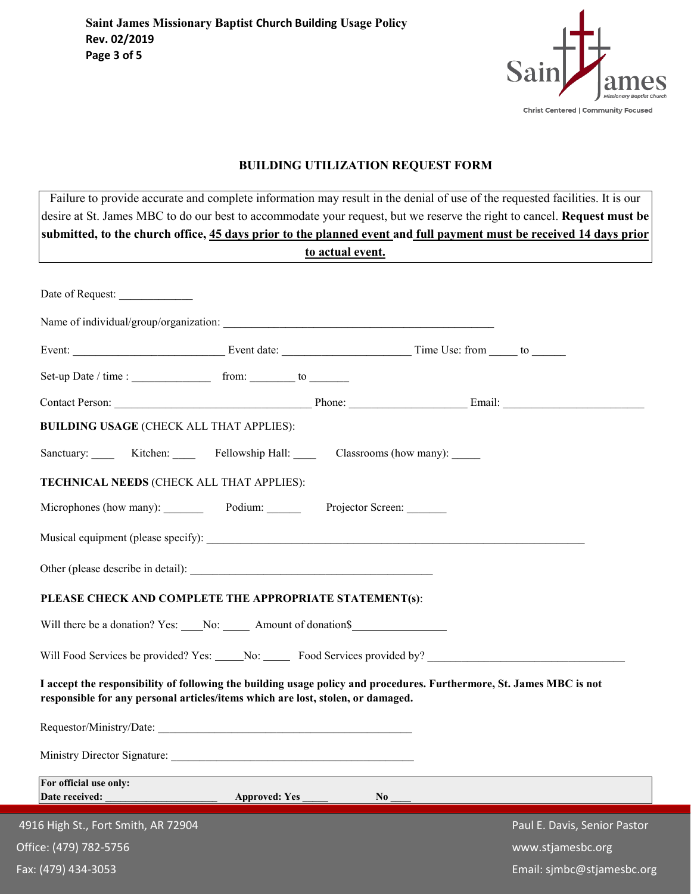

## **BUILDING UTILIZATION REQUEST FORM**

| submitted, to the church office, 45 days prior to the planned event and full payment must be received 14 days prior<br><u>to actual event.</u> |                                                                                    |                                                                                                                      |  |  |
|------------------------------------------------------------------------------------------------------------------------------------------------|------------------------------------------------------------------------------------|----------------------------------------------------------------------------------------------------------------------|--|--|
| Date of Request:                                                                                                                               |                                                                                    |                                                                                                                      |  |  |
|                                                                                                                                                |                                                                                    |                                                                                                                      |  |  |
|                                                                                                                                                |                                                                                    |                                                                                                                      |  |  |
|                                                                                                                                                |                                                                                    |                                                                                                                      |  |  |
|                                                                                                                                                |                                                                                    |                                                                                                                      |  |  |
| <b>BUILDING USAGE (CHECK ALL THAT APPLIES):</b>                                                                                                |                                                                                    |                                                                                                                      |  |  |
|                                                                                                                                                |                                                                                    |                                                                                                                      |  |  |
|                                                                                                                                                | TECHNICAL NEEDS (CHECK ALL THAT APPLIES):                                          |                                                                                                                      |  |  |
|                                                                                                                                                | Microphones (how many): Podium: Projector Screen:                                  |                                                                                                                      |  |  |
|                                                                                                                                                |                                                                                    |                                                                                                                      |  |  |
|                                                                                                                                                |                                                                                    |                                                                                                                      |  |  |
|                                                                                                                                                | PLEASE CHECK AND COMPLETE THE APPROPRIATE STATEMENT(s):                            |                                                                                                                      |  |  |
|                                                                                                                                                | Will there be a donation? Yes: ____No: ______ Amount of donation\$________________ |                                                                                                                      |  |  |
|                                                                                                                                                |                                                                                    |                                                                                                                      |  |  |
|                                                                                                                                                | responsible for any personal articles/items which are lost, stolen, or damaged.    | I accept the responsibility of following the building usage policy and procedures. Furthermore, St. James MBC is not |  |  |
|                                                                                                                                                |                                                                                    |                                                                                                                      |  |  |
|                                                                                                                                                |                                                                                    |                                                                                                                      |  |  |
| For official use only:<br>Date received:                                                                                                       |                                                                                    |                                                                                                                      |  |  |
|                                                                                                                                                |                                                                                    | $N_0$                                                                                                                |  |  |
| 4916 High St., Fort Smith, AR 72904<br>Office: (479) 782-5756                                                                                  |                                                                                    | Paul E. Davis, Senior Pastor<br>www.stjamesbc.org                                                                    |  |  |
|                                                                                                                                                |                                                                                    |                                                                                                                      |  |  |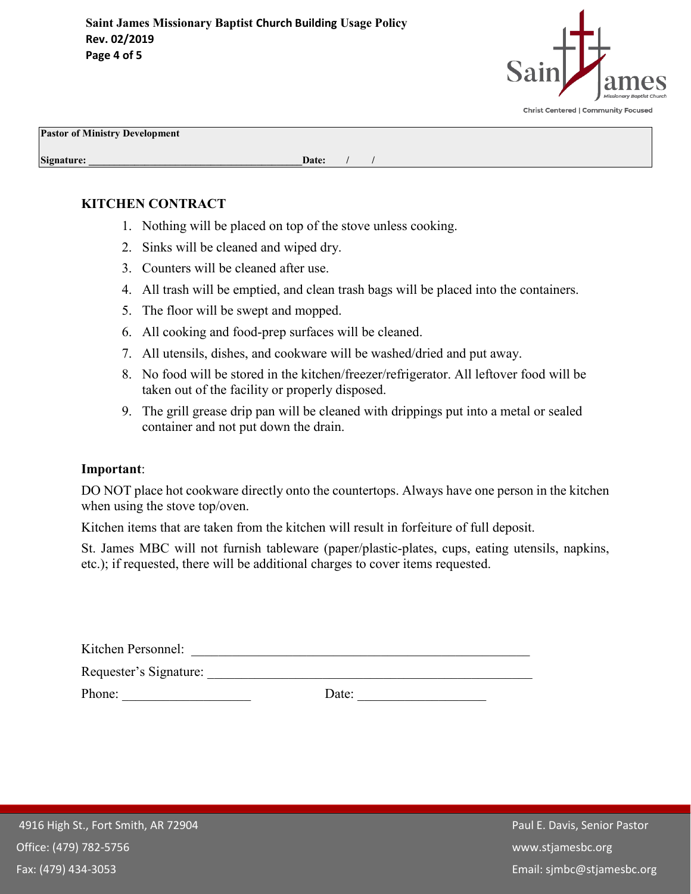

**Pastor of Ministry Development**

**Signature: Date:** *Date: Date: <i>Date: Date: <i>Date: Date:**<b>Date: <i>Date: Date: Date: Date: Date: Date: Date: Date: Date: Date: Date:* 

### **KITCHEN CONTRACT**

- 1. Nothing will be placed on top of the stove unless cooking.
- 2. Sinks will be cleaned and wiped dry.
- 3. Counters will be cleaned after use.
- 4. All trash will be emptied, and clean trash bags will be placed into the containers.
- 5. The floor will be swept and mopped.
- 6. All cooking and food-prep surfaces will be cleaned.
- 7. All utensils, dishes, and cookware will be washed/dried and put away.
- 8. No food will be stored in the kitchen/freezer/refrigerator. All leftover food will be taken out of the facility or properly disposed.
- 9. The grill grease drip pan will be cleaned with drippings put into a metal or sealed container and not put down the drain.

#### **Important**:

DO NOT place hot cookware directly onto the countertops. Always have one person in the kitchen when using the stove top/oven.

Kitchen items that are taken from the kitchen will result in forfeiture of full deposit.

St. James MBC will not furnish tableware (paper/plastic-plates, cups, eating utensils, napkins, etc.); if requested, there will be additional charges to cover items requested.

| Kitchen Personnel:     |       |  |
|------------------------|-------|--|
| Requester's Signature: |       |  |
| Phone:                 | Date: |  |